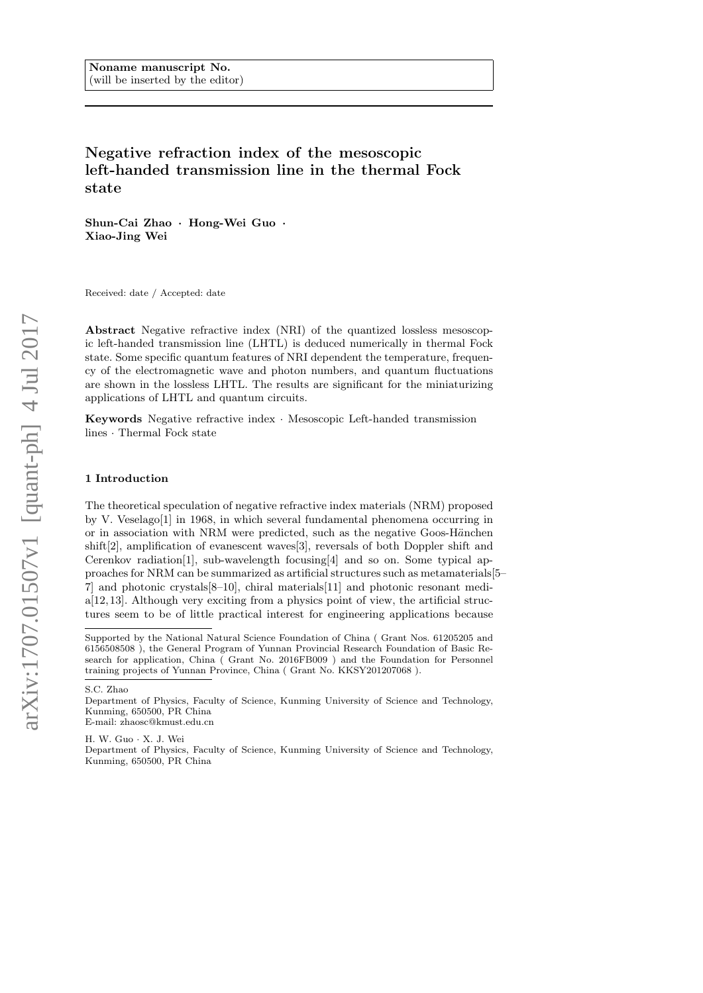# Negative refraction index of the mesoscopic left-handed transmission line in the thermal Fock state

Shun-Cai Zhao · Hong-Wei Guo · Xiao-Jing Wei

Received: date / Accepted: date

Abstract Negative refractive index (NRI) of the quantized lossless mesoscopic left-handed transmission line (LHTL) is deduced numerically in thermal Fock state. Some specific quantum features of NRI dependent the temperature, frequency of the electromagnetic wave and photon numbers, and quantum fluctuations are shown in the lossless LHTL. The results are significant for the miniaturizing applications of LHTL and quantum circuits.

Keywords Negative refractive index · Mesoscopic Left-handed transmission lines · Thermal Fock state

#### 1 Introduction

The theoretical speculation of negative refractive index materials (NRM) proposed by V. Veselago[1] in 1968, in which several fundamental phenomena occurring in or in association with  $NRM$  were predicted, such as the negative Goos-Hänchen shift[2], amplification of evanescent waves[3], reversals of both Doppler shift and Cerenkov radiation<sup>[1]</sup>, sub-wavelength focusing [4] and so on. Some typical approaches for NRM can be summarized as artificial structures such as metamaterials[5– 7] and photonic crystals[8–10], chiral materials[11] and photonic resonant media[12,13]. Although very exciting from a physics point of view, the artificial structures seem to be of little practical interest for engineering applications because

H. W. Guo · X. J. Wei

Department of Physics, Faculty of Science, Kunming University of Science and Technology, Kunming, 650500, PR China

Supported by the National Natural Science Foundation of China ( Grant Nos. 61205205 and 6156508508 ), the General Program of Yunnan Provincial Research Foundation of Basic Research for application, China ( Grant No. 2016FB009 ) and the Foundation for Personnel training projects of Yunnan Province, China ( Grant No. KKSY201207068 ).

S.C. Zhao

Department of Physics, Faculty of Science, Kunming University of Science and Technology, Kunming, 650500, PR China E-mail: zhaosc@kmust.edu.cn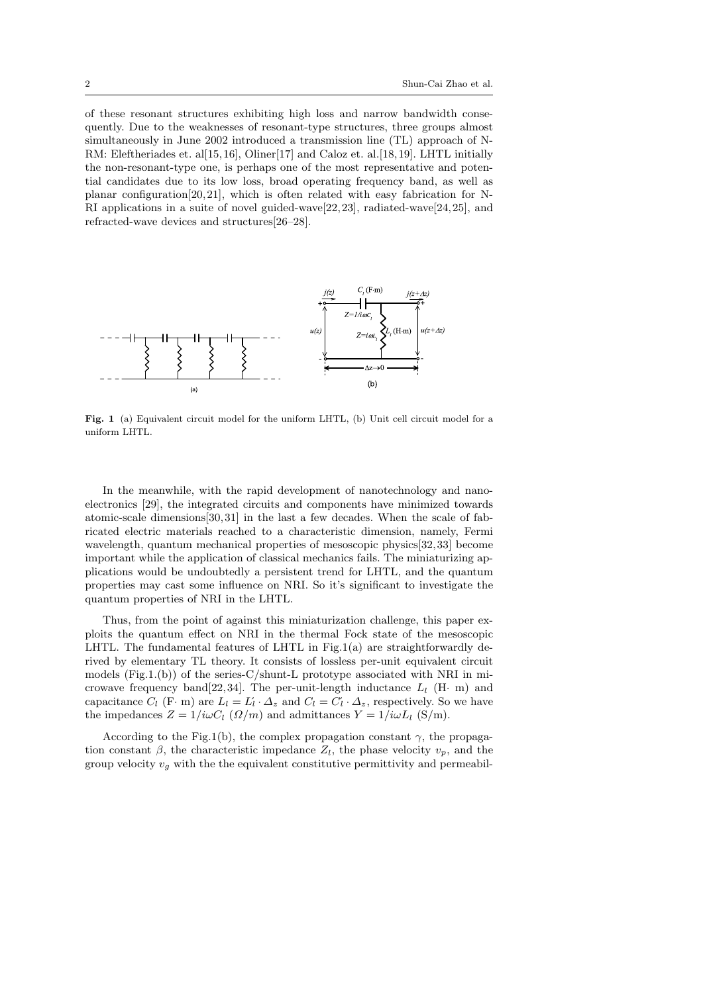of these resonant structures exhibiting high loss and narrow bandwidth consequently. Due to the weaknesses of resonant-type structures, three groups almost simultaneously in June 2002 introduced a transmission line (TL) approach of N-RM: Eleftheriades et. al[15,16], Oliner[17] and Caloz et. al.[18,19]. LHTL initially the non-resonant-type one, is perhaps one of the most representative and potential candidates due to its low loss, broad operating frequency band, as well as planar configuration[20, 21], which is often related with easy fabrication for N-RI applications in a suite of novel guided-wave[22,23], radiated-wave[24,25], and refracted-wave devices and structures[26–28].



Fig. 1 (a) Equivalent circuit model for the uniform LHTL, (b) Unit cell circuit model for a uniform LHTL.

In the meanwhile, with the rapid development of nanotechnology and nanoelectronics [29], the integrated circuits and components have minimized towards atomic-scale dimensions[30, 31] in the last a few decades. When the scale of fabricated electric materials reached to a characteristic dimension, namely, Fermi wavelength, quantum mechanical properties of mesoscopic physics[32,33] become important while the application of classical mechanics fails. The miniaturizing applications would be undoubtedly a persistent trend for LHTL, and the quantum properties may cast some influence on NRI. So it's significant to investigate the quantum properties of NRI in the LHTL.

Thus, from the point of against this miniaturization challenge, this paper exploits the quantum effect on NRI in the thermal Fock state of the mesoscopic LHTL. The fundamental features of LHTL in Fig.1(a) are straightforwardly derived by elementary TL theory. It consists of lossless per-unit equivalent circuit models  $(Fig.1.(b))$  of the series-C/shunt-L prototype associated with NRI in microwave frequency band[22,34]. The per-unit-length inductance  $L_l$  (H· m) and capacitance  $C_l$  (F· m) are  $L_l = L'_l \cdot \Delta_z$  and  $C_l = C'_l \cdot \Delta_z$ , respectively. So we have the impedances  $Z = 1/i\omega C_l$   $(\Omega/m)$  and admittances  $Y = 1/i\omega L_l$  (S/m).

According to the Fig.1(b), the complex propagation constant  $\gamma$ , the propagation constant  $\beta$ , the characteristic impedance  $Z_l$ , the phase velocity  $v_p$ , and the group velocity  $v<sub>g</sub>$  with the the equivalent constitutive permittivity and permeabil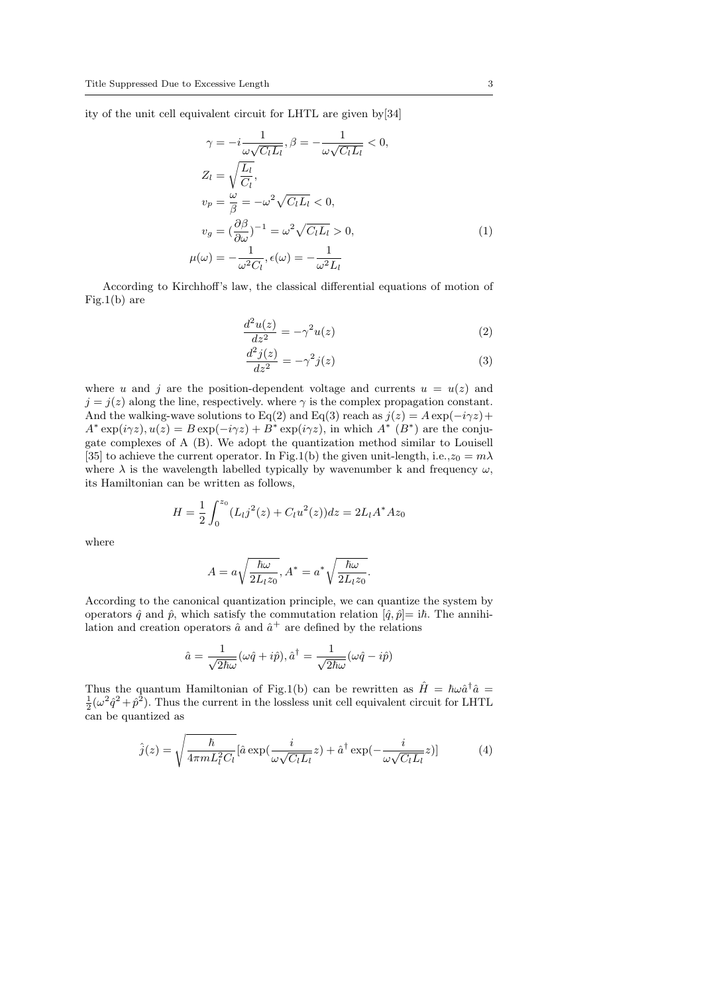ity of the unit cell equivalent circuit for LHTL are given by[34]

$$
\gamma = -i \frac{1}{\omega \sqrt{C_l L_l}}, \beta = -\frac{1}{\omega \sqrt{C_l L_l}} < 0,
$$
  
\n
$$
Z_l = \sqrt{\frac{L_l}{C_l}},
$$
  
\n
$$
v_p = \frac{\omega}{\beta} = -\omega^2 \sqrt{C_l L_l} < 0,
$$
  
\n
$$
v_g = (\frac{\partial \beta}{\partial \omega})^{-1} = \omega^2 \sqrt{C_l L_l} > 0,
$$
  
\n
$$
\mu(\omega) = -\frac{1}{\omega^2 C_l}, \epsilon(\omega) = -\frac{1}{\omega^2 L_l}
$$
\n(1)

According to Kirchhoff's law, the classical differential equations of motion of Fig.1(b) are

$$
\frac{d^2u(z)}{dz^2} = -\gamma^2 u(z)
$$
 (2)

$$
\frac{d^2j(z)}{dz^2} = -\gamma^2 j(z)
$$
\n(3)

where u and j are the position-dependent voltage and currents  $u = u(z)$  and  $j = j(z)$  along the line, respectively. where  $\gamma$  is the complex propagation constant. And the walking-wave solutions to Eq(2) and Eq(3) reach as  $j(z) = A \exp(-i\gamma z) +$  $A^* \exp(i\gamma z), u(z) = B \exp(-i\gamma z) + B^* \exp(i\gamma z),$  in which  $A^* (B^*)$  are the conjugate complexes of A (B). We adopt the quantization method similar to Louisell [35] to achieve the current operator. In Fig.1(b) the given unit-length, i.e.,  $z_0 = m\lambda$ where  $\lambda$  is the wavelength labelled typically by wavenumber k and frequency  $\omega$ , its Hamiltonian can be written as follows,

$$
H = \frac{1}{2} \int_0^{z_0} (L_l j^2(z) + C_l u^2(z)) dz = 2L_l A^* A z_0
$$

where

$$
A = a\sqrt{\frac{\hbar\omega}{2L_lz_0}}, A^* = a^*\sqrt{\frac{\hbar\omega}{2L_lz_0}}.
$$

According to the canonical quantization principle, we can quantize the system by operators  $\hat{q}$  and  $\hat{p}$ , which satisfy the commutation relation  $[\hat{q}, \hat{p}] = i\hbar$ . The annihilation and creation operators  $\hat{a}$  and  $\hat{a}^+$  are defined by the relations

$$
\hat{a} = \frac{1}{\sqrt{2\hbar\omega}}(\omega\hat{q} + i\hat{p}), \hat{a}^{\dagger} = \frac{1}{\sqrt{2\hbar\omega}}(\omega\hat{q} - i\hat{p})
$$

Thus the quantum Hamiltonian of Fig.1(b) can be rewritten as  $\hat{H} = \hbar \omega \hat{a}^{\dagger} \hat{a} =$  $\frac{1}{2}(\omega^2 \hat{q}^2 + \hat{p}^2)$ . Thus the current in the lossless unit cell equivalent circuit for LHTL can be quantized as

$$
\hat{j}(z) = \sqrt{\frac{\hbar}{4\pi m L_l^2 C_l}} [\hat{a} \exp(\frac{i}{\omega\sqrt{C_l L_l}} z) + \hat{a}^\dagger \exp(-\frac{i}{\omega\sqrt{C_l L_l}} z)] \tag{4}
$$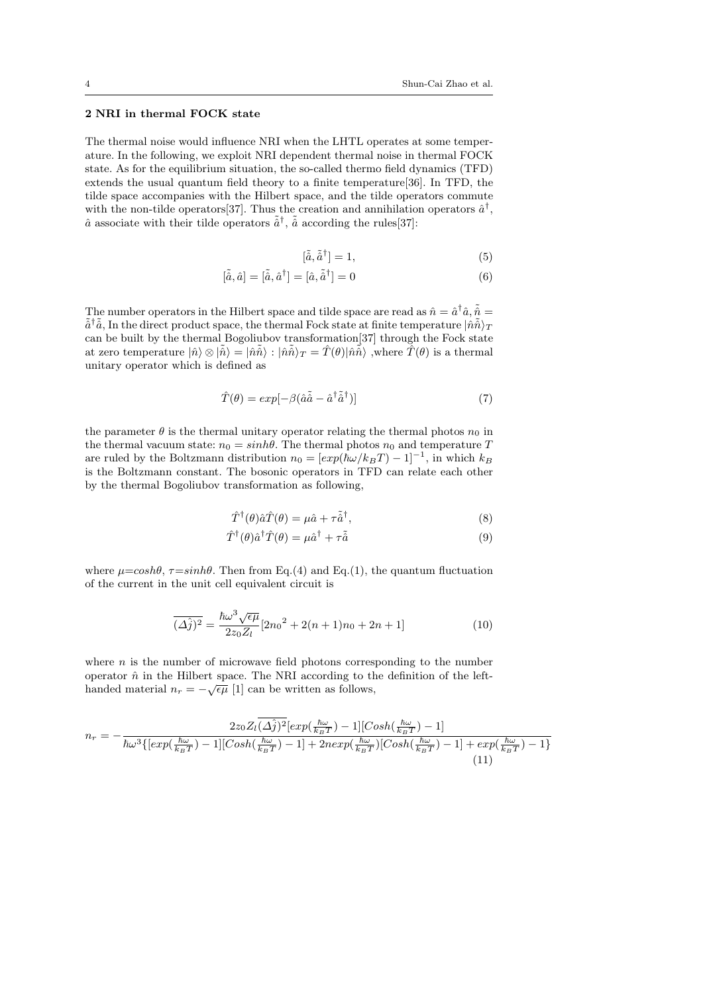# 2 NRI in thermal FOCK state

The thermal noise would influence NRI when the LHTL operates at some temperature. In the following, we exploit NRI dependent thermal noise in thermal FOCK state. As for the equilibrium situation, the so-called thermo field dynamics (TFD) extends the usual quantum field theory to a finite temperature[36]. In TFD, the tilde space accompanies with the Hilbert space, and the tilde operators commute with the non-tilde operators  $[37]$ . Thus the creation and annihilation operators  $\hat{a}^{\dagger}$ ,  $\hat{a}$  associate with their tilde operators  $\tilde{a}^{\dagger}$ ,  $\tilde{a}$  according the rules [37]:

$$
[\tilde{\hat{a}}, \tilde{\hat{a}}^{\dagger}] = 1,\tag{5}
$$

$$
[\tilde{\hat{a}}, \hat{a}] = [\tilde{\hat{a}}, \hat{a}^{\dagger}] = [\hat{a}, \tilde{\hat{a}}^{\dagger}] = 0 \tag{6}
$$

The number operators in the Hilbert space and tilde space are read as  $\hat{n} = \hat{a}^{\dagger} \hat{a}, \tilde{\hat{n}} =$  $\tilde{a}^\dagger\tilde{a}$ , In the direct product space, the thermal Fock state at finite temperature  $|\hat{n}\tilde{\hat{n}}\rangle_T$ can be built by the thermal Bogoliubov transformation[37] through the Fock state at zero temperature  $|\hat{n}\rangle \otimes |\tilde{\hat{n}}\rangle = |\hat{n}\tilde{\hat{n}}\rangle : |\hat{n}\tilde{\hat{n}}\rangle_T = \hat{T}(\theta)|\hat{n}\tilde{\hat{n}}\rangle$  , where  $\hat{T}(\theta)$  is a thermal unitary operator which is defined as

$$
\hat{T}(\theta) = exp[-\beta(\hat{a}\tilde{\hat{a}} - \hat{a}^{\dagger}\tilde{\hat{a}}^{\dagger})]
$$
\n(7)

the parameter  $\theta$  is the thermal unitary operator relating the thermal photos  $n_0$  in the thermal vacuum state:  $n_0 = sinh\theta$ . The thermal photos  $n_0$  and temperature T are ruled by the Boltzmann distribution  $n_0 = [exp(\hbar\omega/k_BT) - 1]^{-1}$ , in which  $k_B$ is the Boltzmann constant. The bosonic operators in TFD can relate each other by the thermal Bogoliubov transformation as following,

$$
\hat{T}^{\dagger}(\theta)\hat{a}\hat{T}(\theta) = \mu\hat{a} + \tau\tilde{\hat{a}}^{\dagger},\tag{8}
$$

$$
\hat{T}^{\dagger}(\theta)\hat{a}^{\dagger}\hat{T}(\theta) = \mu\hat{a}^{\dagger} + \tau\tilde{\hat{a}}\tag{9}
$$

where  $\mu = \cosh\theta$ ,  $\tau = \sinh\theta$ . Then from Eq.(4) and Eq.(1), the quantum fluctuation of the current in the unit cell equivalent circuit is

$$
\overline{(\Delta \hat{j})^2} = \frac{\hbar \omega^3 \sqrt{\epsilon \mu}}{2z_0 Z_l} [2n_0^2 + 2(n+1)n_0 + 2n + 1]
$$
\n(10)

where  $n$  is the number of microwave field photons corresponding to the number operator  $\hat{n}$  in the Hilbert space. The NRI according to the definition of the lefthanded material  $n_r = -\sqrt{\epsilon \mu}$  [1] can be written as follows,

$$
n_r = -\frac{2z_0Z_l(\Delta \hat{j})^2[exp(\frac{\hbar\omega}{k_BT}) - 1][Cosh(\frac{\hbar\omega}{k_BT}) - 1]}{\hbar\omega^3\{[exp(\frac{\hbar\omega}{k_BT}) - 1][Cosh(\frac{\hbar\omega}{k_BT}) - 1] + 2nexp(\frac{\hbar\omega}{k_BT})[Cosh(\frac{\hbar\omega}{k_BT}) - 1] + exp(\frac{\hbar\omega}{k_BT}) - 1\}}
$$
(11)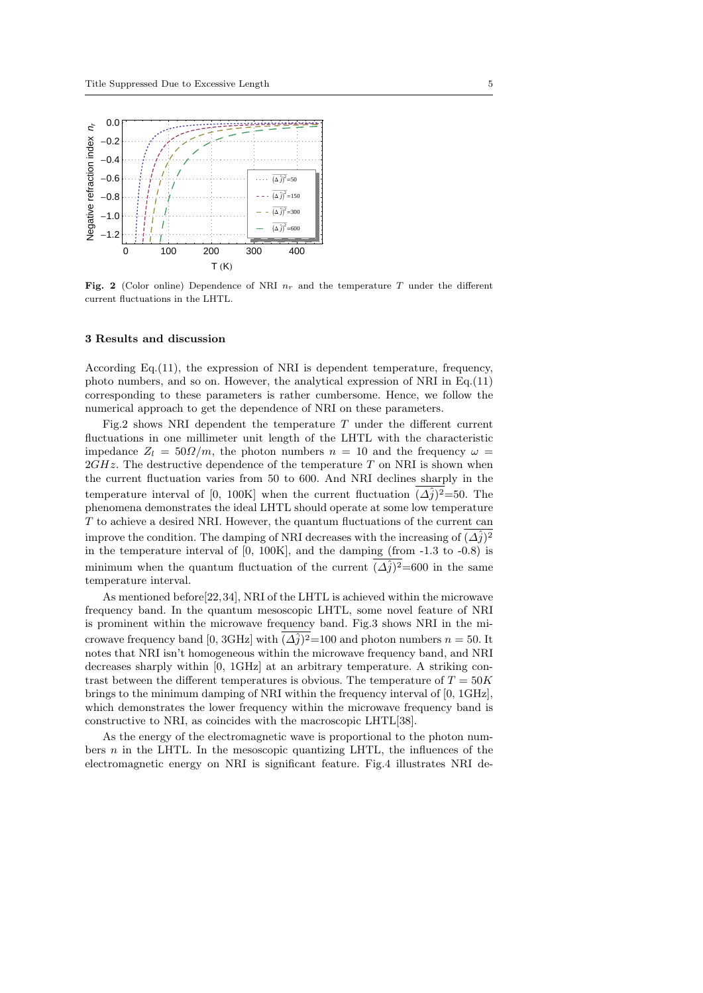

Fig. 2 (Color online) Dependence of NRI  $n_r$  and the temperature T under the different current fluctuations in the LHTL.

### 3 Results and discussion

According Eq.(11), the expression of NRI is dependent temperature, frequency, photo numbers, and so on. However, the analytical expression of NRI in Eq.(11) corresponding to these parameters is rather cumbersome. Hence, we follow the numerical approach to get the dependence of NRI on these parameters.

Fig.2 shows NRI dependent the temperature  $T$  under the different current fluctuations in one millimeter unit length of the LHTL with the characteristic impedance  $Z_l = 50 \Omega/m$ , the photon numbers  $n = 10$  and the frequency  $\omega =$  $2GHz$ . The destructive dependence of the temperature T on NRI is shown when the current fluctuation varies from 50 to 600. And NRI declines sharply in the temperature interval of [0, 100K] when the current fluctuation  $(\Delta \hat{j})^2$ =50. The phenomena demonstrates the ideal LHTL should operate at some low temperature  $T$  to achieve a desired NRI. However, the quantum fluctuations of the current can improve the condition. The damping of NRI decreases with the increasing of  $(\Delta \hat{j})^2$ in the temperature interval of  $[0, 100K]$ , and the damping (from  $-1.3$  to  $-0.8$ ) is minimum when the quantum fluctuation of the current  $(\Delta \hat{j})^2$ =600 in the same temperature interval.

As mentioned before[22, 34], NRI of the LHTL is achieved within the microwave frequency band. In the quantum mesoscopic LHTL, some novel feature of NRI is prominent within the microwave frequency band. Fig.3 shows NRI in the microwave frequency band [0, 3GHz] with  $(\Delta \hat{j})^2$  = 100 and photon numbers  $n = 50$ . It notes that NRI isn't homogeneous within the microwave frequency band, and NRI decreases sharply within [0, 1GHz] at an arbitrary temperature. A striking contrast between the different temperatures is obvious. The temperature of  $T = 50K$ brings to the minimum damping of NRI within the frequency interval of [0, 1GHz], which demonstrates the lower frequency within the microwave frequency band is constructive to NRI, as coincides with the macroscopic LHTL[38].

As the energy of the electromagnetic wave is proportional to the photon numbers  $n$  in the LHTL. In the mesoscopic quantizing LHTL, the influences of the electromagnetic energy on NRI is significant feature. Fig.4 illustrates NRI de-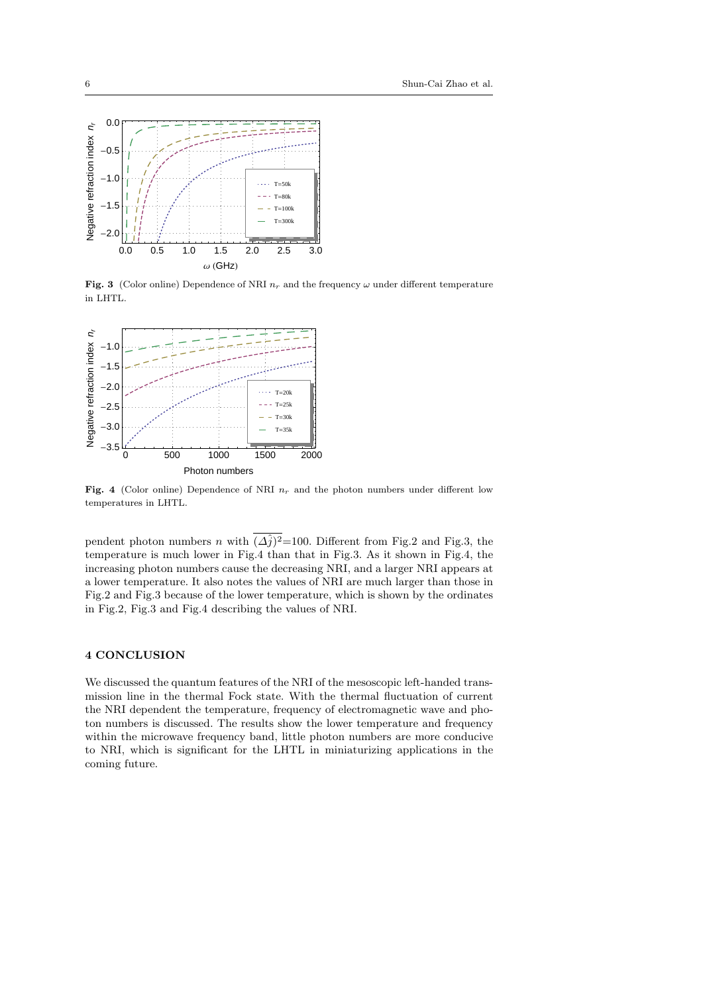

Fig. 3 (Color online) Dependence of NRI  $n_r$  and the frequency  $\omega$  under different temperature in LHTL.



Fig. 4 (Color online) Dependence of NRI  $n_r$  and the photon numbers under different low temperatures in LHTL.

pendent photon numbers *n* with  $(\Delta \hat{j})^2$ =100. Different from Fig.2 and Fig.3, the temperature is much lower in Fig.4 than that in Fig.3. As it shown in Fig.4, the increasing photon numbers cause the decreasing NRI, and a larger NRI appears at a lower temperature. It also notes the values of NRI are much larger than those in Fig.2 and Fig.3 because of the lower temperature, which is shown by the ordinates in Fig.2, Fig.3 and Fig.4 describing the values of NRI.

## 4 CONCLUSION

We discussed the quantum features of the NRI of the mesoscopic left-handed transmission line in the thermal Fock state. With the thermal fluctuation of current the NRI dependent the temperature, frequency of electromagnetic wave and photon numbers is discussed. The results show the lower temperature and frequency within the microwave frequency band, little photon numbers are more conducive to NRI, which is significant for the LHTL in miniaturizing applications in the coming future.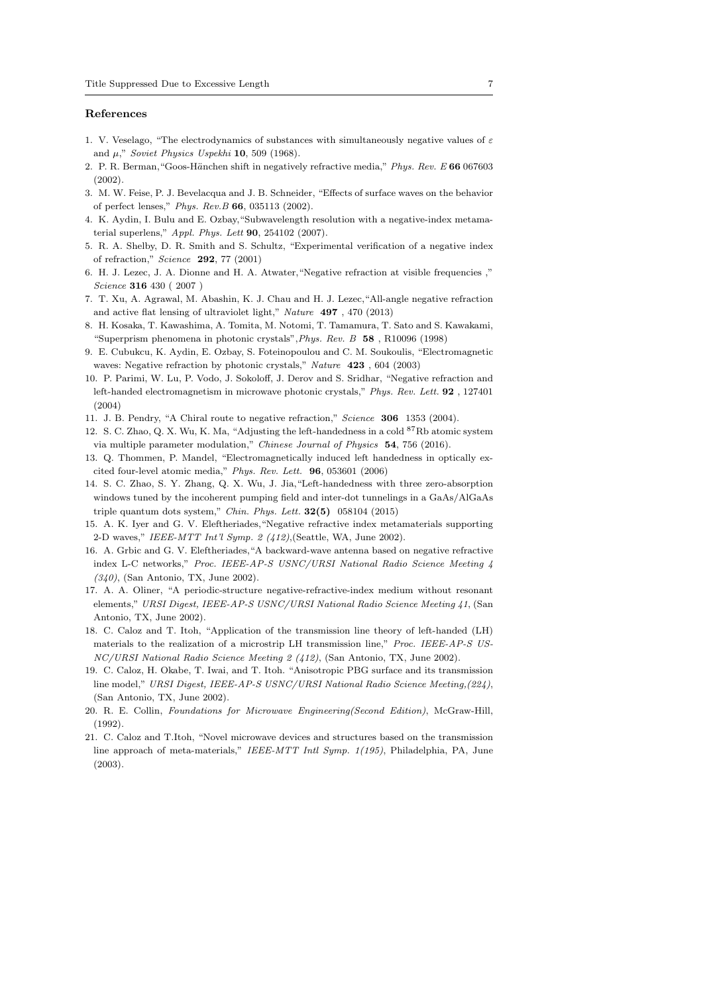#### References

- 1. V. Veselago, "The electrodynamics of substances with simultaneously negative values of  $\varepsilon$ and  $\mu$ ," Soviet Physics Uspekhi 10, 509 (1968).
- 2. P. R. Berman, "Goos-Hänchen shift in negatively refractive media," Phys. Rev. E 66 067603 (2002).
- 3. M. W. Feise, P. J. Bevelacqua and J. B. Schneider, "Effects of surface waves on the behavior of perfect lenses," Phys. Rev.B 66, 035113 (2002).
- 4. K. Aydin, I. Bulu and E. Ozbay,"Subwavelength resolution with a negative-index metamaterial superlens," Appl. Phys. Lett  $90$ , 254102 (2007).
- 5. R. A. Shelby, D. R. Smith and S. Schultz, "Experimental verification of a negative index of refraction," Science 292, 77 (2001)
- 6. H. J. Lezec, J. A. Dionne and H. A. Atwater,"Negative refraction at visible frequencies ," Science 316 430 ( 2007 )
- 7. T. Xu, A. Agrawal, M. Abashin, K. J. Chau and H. J. Lezec,"All-angle negative refraction and active flat lensing of ultraviolet light," Nature 497 , 470 (2013)
- 8. H. Kosaka, T. Kawashima, A. Tomita, M. Notomi, T. Tamamura, T. Sato and S. Kawakami, "Superprism phenomena in photonic crystals",Phys. Rev. B 58 , R10096 (1998)
- 9. E. Cubukcu, K. Aydin, E. Ozbay, S. Foteinopoulou and C. M. Soukoulis, "Electromagnetic waves: Negative refraction by photonic crystals," Nature 423 , 604 (2003)
- 10. P. Parimi, W. Lu, P. Vodo, J. Sokoloff, J. Derov and S. Sridhar, "Negative refraction and left-handed electromagnetism in microwave photonic crystals," Phys. Rev. Lett. 92 , 127401 (2004)
- 11. J. B. Pendry, "A Chiral route to negative refraction," Science 306 1353 (2004).
- 12. S. C. Zhao, Q. X. Wu, K. Ma, "Adjusting the left-handedness in a cold <sup>87</sup>Rb atomic system via multiple parameter modulation," Chinese Journal of Physics 54, 756 (2016).
- 13. Q. Thommen, P. Mandel, "Electromagnetically induced left handedness in optically excited four-level atomic media," Phys. Rev. Lett. 96, 053601 (2006)
- 14. S. C. Zhao, S. Y. Zhang, Q. X. Wu, J. Jia,"Left-handedness with three zero-absorption windows tuned by the incoherent pumping field and inter-dot tunnelings in a GaAs/AlGaAs triple quantum dots system," Chin. Phys. Lett. 32(5) 058104 (2015)
- 15. A. K. Iyer and G. V. Eleftheriades,"Negative refractive index metamaterials supporting 2-D waves," IEEE-MTT Int'l Symp. 2 (412),(Seattle, WA, June 2002).
- 16. A. Grbic and G. V. Eleftheriades,"A backward-wave antenna based on negative refractive index L-C networks," Proc. IEEE-AP-S USNC/URSI National Radio Science Meeting 4 (340), (San Antonio, TX, June 2002).
- 17. A. A. Oliner, "A periodic-structure negative-refractive-index medium without resonant elements," URSI Digest, IEEE-AP-S USNC/URSI National Radio Science Meeting 41, (San Antonio, TX, June 2002).
- 18. C. Caloz and T. Itoh, "Application of the transmission line theory of left-handed (LH) materials to the realization of a microstrip LH transmission line," Proc. IEEE-AP-S US-NC/URSI National Radio Science Meeting 2 (412), (San Antonio, TX, June 2002).
- 19. C. Caloz, H. Okabe, T. Iwai, and T. Itoh. "Anisotropic PBG surface and its transmission line model," URSI Digest, IEEE-AP-S USNC/URSI National Radio Science Meeting,(224), (San Antonio, TX, June 2002).
- 20. R. E. Collin, Foundations for Microwave Engineering(Second Edition), McGraw-Hill, (1992).
- 21. C. Caloz and T.Itoh, "Novel microwave devices and structures based on the transmission line approach of meta-materials," IEEE-MTT Intl Symp. 1(195), Philadelphia, PA, June (2003).